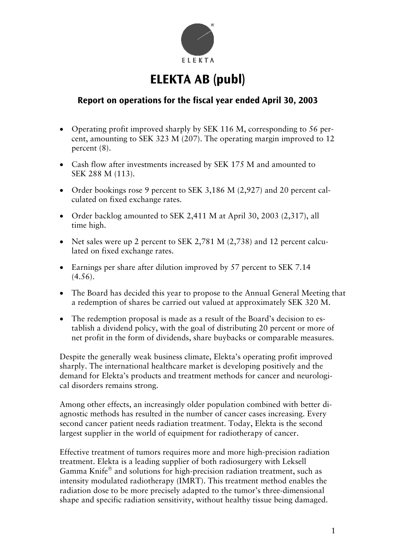

# **ELEKTA AB (publ)**

## **Report on operations for the fiscal year ended April 30, 2003**

- Operating profit improved sharply by SEK 116 M, corresponding to 56 percent, amounting to SEK 323 M (207). The operating margin improved to 12 percent (8).
- Cash flow after investments increased by SEK 175 M and amounted to SEK 288 M (113).
- Order bookings rose 9 percent to SEK 3,186 M (2,927) and 20 percent calculated on fixed exchange rates.
- Order backlog amounted to SEK 2,411 M at April 30, 2003 (2,317), all time high.
- Net sales were up 2 percent to SEK 2,781 M (2,738) and 12 percent calculated on fixed exchange rates.
- Earnings per share after dilution improved by 57 percent to SEK 7.14  $(4.56)$ .
- The Board has decided this year to propose to the Annual General Meeting that a redemption of shares be carried out valued at approximately SEK 320 M.
- The redemption proposal is made as a result of the Board's decision to establish a dividend policy, with the goal of distributing 20 percent or more of net profit in the form of dividends, share buybacks or comparable measures.

Despite the generally weak business climate, Elekta's operating profit improved sharply. The international healthcare market is developing positively and the demand for Elekta's products and treatment methods for cancer and neurological disorders remains strong.

Among other effects, an increasingly older population combined with better diagnostic methods has resulted in the number of cancer cases increasing. Every second cancer patient needs radiation treatment. Today, Elekta is the second largest supplier in the world of equipment for radiotherapy of cancer.

Effective treatment of tumors requires more and more high-precision radiation treatment. Elekta is a leading supplier of both radiosurgery with Leksell Gamma Knife® and solutions for high-precision radiation treatment, such as intensity modulated radiotherapy (IMRT). This treatment method enables the radiation dose to be more precisely adapted to the tumor's three-dimensional shape and specific radiation sensitivity, without healthy tissue being damaged.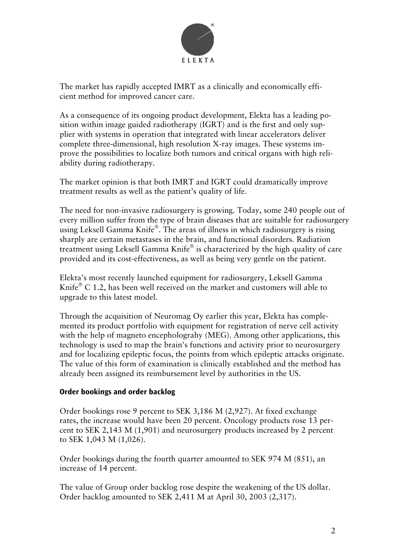

The market has rapidly accepted IMRT as a clinically and economically efficient method for improved cancer care.

As a consequence of its ongoing product development, Elekta has a leading position within image guided radiotherapy (IGRT) and is the first and only supplier with systems in operation that integrated with linear accelerators deliver complete three-dimensional, high resolution X-ray images. These systems improve the possibilities to localize both tumors and critical organs with high reliability during radiotherapy.

The market opinion is that both IMRT and IGRT could dramatically improve treatment results as well as the patient's quality of life.

The need for non-invasive radiosurgery is growing. Today, some 240 people out of every million suffer from the type of brain diseases that are suitable for radiosurgery using Leksell Gamma Knife<sup>®</sup>. The areas of illness in which radiosurgery is rising sharply are certain metastases in the brain, and functional disorders. Radiation treatment using Leksell Gamma Knife® is characterized by the high quality of care provided and its cost-effectiveness, as well as being very gentle on the patient.

Elekta's most recently launched equipment for radiosurgery, Leksell Gamma Knife $^{\circ}$  C 1.2, has been well received on the market and customers will able to upgrade to this latest model.

Through the acquisition of Neuromag Oy earlier this year, Elekta has complemented its product portfolio with equipment for registration of nerve cell activity with the help of magneto encepholograhy (MEG). Among other applications, this technology is used to map the brain's functions and activity prior to neurosurgery and for localizing epileptic focus, the points from which epileptic attacks originate. The value of this form of examination is clinically established and the method has already been assigned its reimbursement level by authorities in the US.

## **Order bookings and order backlog**

Order bookings rose 9 percent to SEK 3,186 M (2,927). At fixed exchange rates, the increase would have been 20 percent. Oncology products rose 13 percent to SEK 2,143 M (1,901) and neurosurgery products increased by 2 percent to SEK 1,043 M (1,026).

Order bookings during the fourth quarter amounted to SEK 974 M (851), an increase of 14 percent.

The value of Group order backlog rose despite the weakening of the US dollar. Order backlog amounted to SEK 2,411 M at April 30, 2003 (2,317).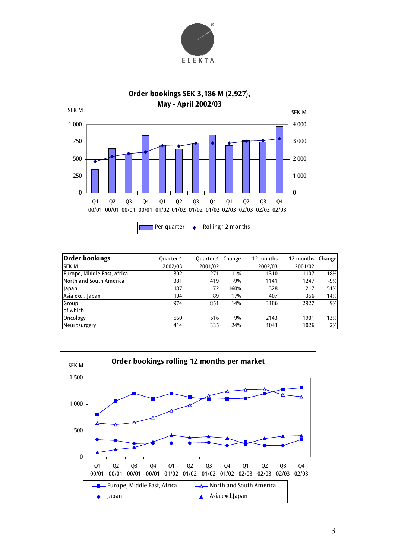



| <b>Order bookings</b>       | <b>Quarter 4</b> | <b>Quarter 4 Change</b> |       | 12 months | 12 months Change |       |
|-----------------------------|------------------|-------------------------|-------|-----------|------------------|-------|
| <b>SEK M</b>                | 2002/03          | 2001/02                 |       | 2002/03   | 2001/02          |       |
| Europe, Middle East, Africa | 302              | 271                     | 11%   | 1310      | 1107             | 18%   |
| North and South America     | 381              | 419                     | $-9%$ | 1141      | 1247             | $-9%$ |
| Japan                       | 187              | 72                      | 160%  | 328       | 217              | 51%   |
| Asia excl. Japan            | 104              | 89                      | 17%   | 407       | 356              | 14%   |
| Group                       | 974              | 851                     | 14%   | 3186      | 2927             | 9%    |
| of which                    |                  |                         |       |           |                  |       |
| Oncology                    | 560              | 516                     | 9%    | 2143      | 1901             | 13%   |
| Neurosurgery                | 414              | 335                     | 24%   | 1043      | 1026             | 2%    |

![](_page_2_Figure_3.jpeg)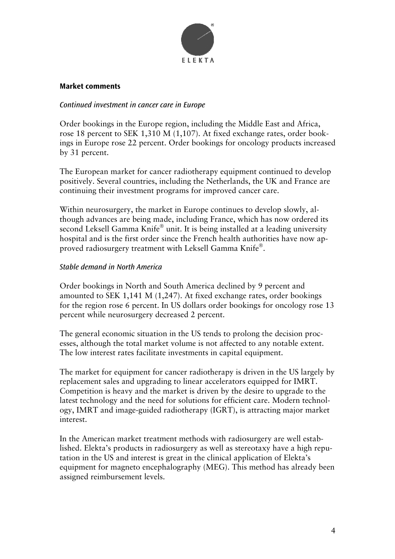![](_page_3_Picture_0.jpeg)

#### **Market comments**

#### *Continued investment in cancer care in Europe*

Order bookings in the Europe region, including the Middle East and Africa, rose 18 percent to SEK 1,310 M (1,107). At fixed exchange rates, order bookings in Europe rose 22 percent. Order bookings for oncology products increased by 31 percent.

The European market for cancer radiotherapy equipment continued to develop positively. Several countries, including the Netherlands, the UK and France are continuing their investment programs for improved cancer care.

Within neurosurgery, the market in Europe continues to develop slowly, although advances are being made, including France, which has now ordered its second Leksell Gamma Knife $^{\circledR}$  unit. It is being installed at a leading university hospital and is the first order since the French health authorities have now approved radiosurgery treatment with Leksell Gamma Knife<sup>®</sup>.

#### *Stable demand in North America*

Order bookings in North and South America declined by 9 percent and amounted to SEK 1,141 M (1,247). At fixed exchange rates, order bookings for the region rose 6 percent. In US dollars order bookings for oncology rose 13 percent while neurosurgery decreased 2 percent.

The general economic situation in the US tends to prolong the decision processes, although the total market volume is not affected to any notable extent. The low interest rates facilitate investments in capital equipment.

The market for equipment for cancer radiotherapy is driven in the US largely by replacement sales and upgrading to linear accelerators equipped for IMRT. Competition is heavy and the market is driven by the desire to upgrade to the latest technology and the need for solutions for efficient care. Modern technology, IMRT and image-guided radiotherapy (IGRT), is attracting major market interest.

In the American market treatment methods with radiosurgery are well established. Elekta's products in radiosurgery as well as stereotaxy have a high reputation in the US and interest is great in the clinical application of Elekta's equipment for magneto encephalography (MEG). This method has already been assigned reimbursement levels.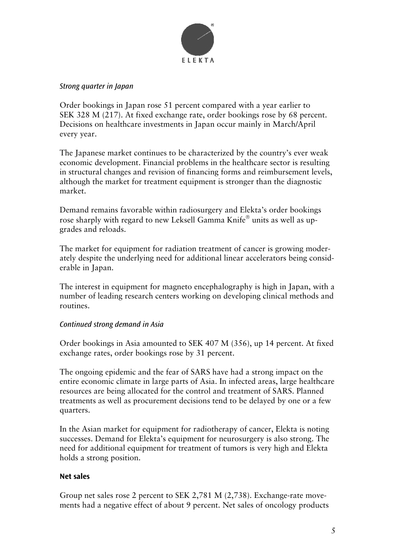![](_page_4_Picture_0.jpeg)

#### *Strong quarter in Japan*

Order bookings in Japan rose 51 percent compared with a year earlier to SEK 328 M (217). At fixed exchange rate, order bookings rose by 68 percent. Decisions on healthcare investments in Japan occur mainly in March/April every year.

The Japanese market continues to be characterized by the country's ever weak economic development. Financial problems in the healthcare sector is resulting in structural changes and revision of financing forms and reimbursement levels, although the market for treatment equipment is stronger than the diagnostic market.

Demand remains favorable within radiosurgery and Elekta's order bookings rose sharply with regard to new Leksell Gamma Knife $^{\circ}$  units as well as upgrades and reloads.

The market for equipment for radiation treatment of cancer is growing moderately despite the underlying need for additional linear accelerators being considerable in Japan.

The interest in equipment for magneto encephalography is high in Japan, with a number of leading research centers working on developing clinical methods and routines.

#### *Continued strong demand in Asia*

Order bookings in Asia amounted to SEK 407 M (356), up 14 percent. At fixed exchange rates, order bookings rose by 31 percent.

The ongoing epidemic and the fear of SARS have had a strong impact on the entire economic climate in large parts of Asia. In infected areas, large healthcare resources are being allocated for the control and treatment of SARS. Planned treatments as well as procurement decisions tend to be delayed by one or a few quarters.

In the Asian market for equipment for radiotherapy of cancer, Elekta is noting successes. Demand for Elekta's equipment for neurosurgery is also strong. The need for additional equipment for treatment of tumors is very high and Elekta holds a strong position.

#### **Net sales**

Group net sales rose 2 percent to SEK 2,781 M (2,738). Exchange-rate movements had a negative effect of about 9 percent. Net sales of oncology products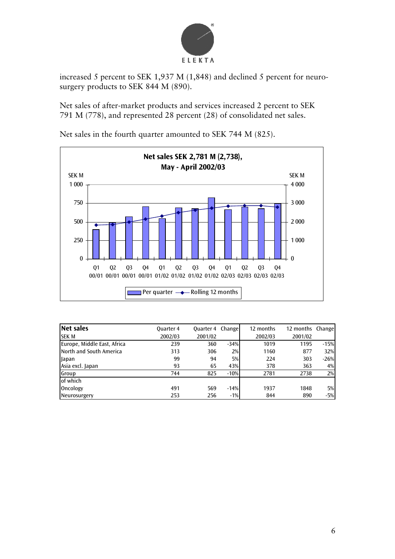![](_page_5_Picture_0.jpeg)

increased 5 percent to SEK 1,937 M (1,848) and declined 5 percent for neurosurgery products to SEK 844 M (890).

Net sales of after-market products and services increased 2 percent to SEK 791 M (778), and represented 28 percent (28) of consolidated net sales.

![](_page_5_Figure_3.jpeg)

Net sales in the fourth quarter amounted to SEK 744 M (825).

| <b>Net sales</b>            | Ouarter 4 | <b>Ouarter 4 Change</b> |        | 12 months | 12 months Change |        |
|-----------------------------|-----------|-------------------------|--------|-----------|------------------|--------|
| <b>SEK M</b>                | 2002/03   | 2001/02                 |        | 2002/03   | 2001/02          |        |
| Europe, Middle East, Africa | 239       | 360                     | $-34%$ | 1019      | 1195             | $-15%$ |
| North and South America     | 313       | 306                     | 2%     | 1160      | 877              | 32%    |
| Japan                       | 99        | 94                      | 5%     | 224       | 303              | $-26%$ |
| Asia excl. Japan            | 93        | 65                      | 43%    | 378       | 363              | 4%     |
| Group                       | 744       | 825                     | $-10%$ | 2781      | 2738             | 2%     |
| of which                    |           |                         |        |           |                  |        |
| Oncology                    | 491       | 569                     | $-14%$ | 1937      | 1848             | 5%     |
| Neurosurgery                | 253       | 256                     | $-1%$  | 844       | 890              | $-5%$  |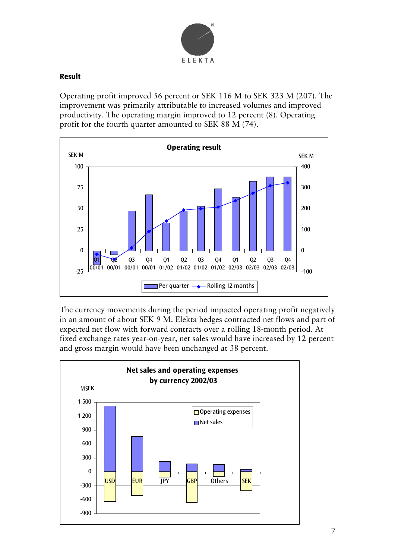![](_page_6_Picture_0.jpeg)

## **Result**

Operating profit improved 56 percent or SEK 116 M to SEK 323 M (207). The improvement was primarily attributable to increased volumes and improved productivity. The operating margin improved to 12 percent (8). Operating profit for the fourth quarter amounted to SEK 88 M (74).

![](_page_6_Figure_3.jpeg)

The currency movements during the period impacted operating profit negatively in an amount of about SEK 9 M. Elekta hedges contracted net flows and part of expected net flow with forward contracts over a rolling 18-month period. At fixed exchange rates year-on-year, net sales would have increased by 12 percent and gross margin would have been unchanged at 38 percent.

![](_page_6_Figure_5.jpeg)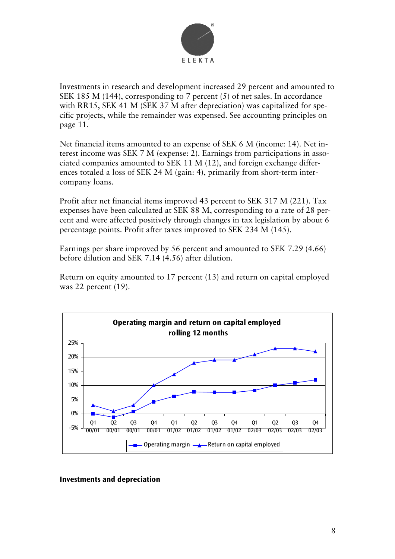![](_page_7_Picture_0.jpeg)

Investments in research and development increased 29 percent and amounted to SEK 185 M (144), corresponding to 7 percent (5) of net sales. In accordance with RR15, SEK 41 M (SEK 37 M after depreciation) was capitalized for specific projects, while the remainder was expensed. See accounting principles on page 11.

Net financial items amounted to an expense of SEK 6 M (income: 14). Net interest income was SEK 7 M (expense: 2). Earnings from participations in associated companies amounted to SEK 11 M (12), and foreign exchange differences totaled a loss of SEK 24 M (gain: 4), primarily from short-term intercompany loans.

Profit after net financial items improved 43 percent to SEK 317 M (221). Tax expenses have been calculated at SEK 88 M, corresponding to a rate of 28 percent and were affected positively through changes in tax legislation by about 6 percentage points. Profit after taxes improved to SEK 234 M (145).

Earnings per share improved by 56 percent and amounted to SEK 7.29 (4.66) before dilution and SEK 7.14 (4.56) after dilution.

Return on equity amounted to 17 percent (13) and return on capital employed was 22 percent (19).

![](_page_7_Figure_6.jpeg)

#### **Investments and depreciation**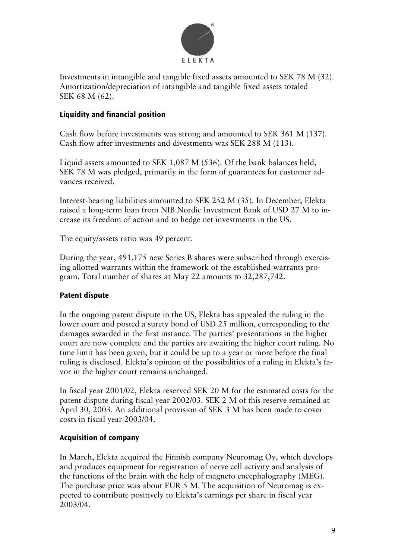![](_page_8_Picture_0.jpeg)

Investments in intangible and tangible fixed assets amounted to SEK 78 M (32). Amortization/depreciation of intangible and tangible fixed assets totaled SEK 68 M (62).

## **Liquidity and financial position**

Cash flow before investments was strong and amounted to SEK 361 M (137). Cash flow after investments and divestments was SEK 288 M (113).

Liquid assets amounted to SEK 1,087 M (536). Of the bank balances held, SEK 78 M was pledged, primarily in the form of guarantees for customer advances received.

Interest-bearing liabilities amounted to SEK 252 M (35). In December, Elekta raised a long-term loan from NIB Nordic Investment Bank of USD 27 M to increase its freedom of action and to hedge net investments in the US.

The equity/assets ratio was 49 percent.

During the year, 491,175 new Series B shares were subscribed through exercising allotted warrants within the framework of the established warrants program. Total number of shares at May 22 amounts to 32,287,742.

## **Patent dispute**

In the ongoing patent dispute in the US, Elekta has appealed the ruling in the lower court and posted a surety bond of USD 25 million, corresponding to the damages awarded in the first instance. The parties' presentations in the higher court are now complete and the parties are awaiting the higher court ruling. No time limit has been given, but it could be up to a year or more before the final ruling is disclosed. Elekta's opinion of the possibilities of a ruling in Elekta's favor in the higher court remains unchanged.

In fiscal year 2001/02, Elekta reserved SEK 20 M for the estimated costs for the patent dispute during fiscal year 2002/03. SEK 2 M of this reserve remained at April 30, 2003. An additional provision of SEK 3 M has been made to cover costs in fiscal year 2003/04.

## **Acquisition of company**

In March, Elekta acquired the Finnish company Neuromag Oy, which develops and produces equipment for registration of nerve cell activity and analysis of the functions of the brain with the help of magneto encephalography (MEG). The purchase price was about EUR 5 M. The acquisition of Neuromag is expected to contribute positively to Elekta's earnings per share in fiscal year 2003/04.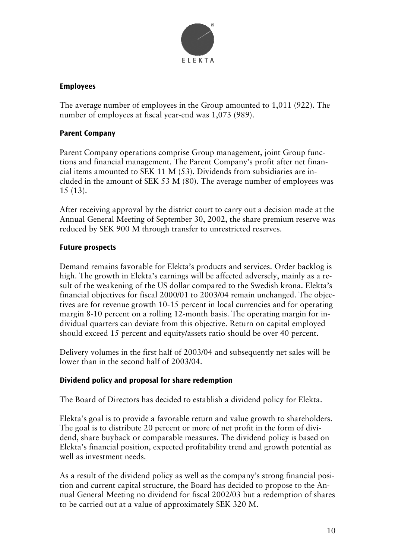![](_page_9_Picture_0.jpeg)

## **Employees**

The average number of employees in the Group amounted to 1,011 (922). The number of employees at fiscal year-end was 1,073 (989).

## **Parent Company**

Parent Company operations comprise Group management, joint Group functions and financial management. The Parent Company's profit after net financial items amounted to SEK 11 M (53). Dividends from subsidiaries are included in the amount of SEK 53 M (80). The average number of employees was 15 (13).

After receiving approval by the district court to carry out a decision made at the Annual General Meeting of September 30, 2002, the share premium reserve was reduced by SEK 900 M through transfer to unrestricted reserves.

## **Future prospects**

Demand remains favorable for Elekta's products and services. Order backlog is high. The growth in Elekta's earnings will be affected adversely, mainly as a result of the weakening of the US dollar compared to the Swedish krona. Elekta's financial objectives for fiscal 2000/01 to 2003/04 remain unchanged. The objectives are for revenue growth 10-15 percent in local currencies and for operating margin 8-10 percent on a rolling 12-month basis. The operating margin for individual quarters can deviate from this objective. Return on capital employed should exceed 15 percent and equity/assets ratio should be over 40 percent.

Delivery volumes in the first half of 2003/04 and subsequently net sales will be lower than in the second half of 2003/04.

## **Dividend policy and proposal for share redemption**

The Board of Directors has decided to establish a dividend policy for Elekta.

Elekta's goal is to provide a favorable return and value growth to shareholders. The goal is to distribute 20 percent or more of net profit in the form of dividend, share buyback or comparable measures. The dividend policy is based on Elekta's financial position, expected profitability trend and growth potential as well as investment needs.

As a result of the dividend policy as well as the company's strong financial position and current capital structure, the Board has decided to propose to the Annual General Meeting no dividend for fiscal 2002/03 but a redemption of shares to be carried out at a value of approximately SEK 320 M.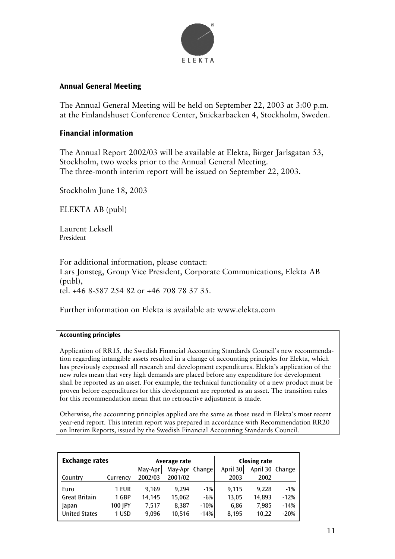![](_page_10_Picture_0.jpeg)

#### **Annual General Meeting**

The Annual General Meeting will be held on September 22, 2003 at 3:00 p.m. at the Finlandshuset Conference Center, Snickarbacken 4, Stockholm, Sweden.

#### **Financial information**

The Annual Report 2002/03 will be available at Elekta, Birger Jarlsgatan 53, Stockholm, two weeks prior to the Annual General Meeting. The three-month interim report will be issued on September 22, 2003.

Stockholm June 18, 2003

ELEKTA AB (publ)

Laurent Leksell President

For additional information, please contact: Lars Jonsteg, Group Vice President, Corporate Communications, Elekta AB (publ), tel. +46 8-587 254 82 or +46 708 78 37 35.

Further information on Elekta is available at: www.elekta.com

#### **Accounting principles**

Application of RR15, the Swedish Financial Accounting Standards Council's new recommendation regarding intangible assets resulted in a change of accounting principles for Elekta, which has previously expensed all research and development expenditures. Elekta's application of the new rules mean that very high demands are placed before any expenditure for development shall be reported as an asset. For example, the technical functionality of a new product must be proven before expenditures for this development are reported as an asset. The transition rules for this recommendation mean that no retroactive adjustment is made.

Otherwise, the accounting principles applied are the same as those used in Elekta's most recent year-end report. This interim report was prepared in accordance with Recommendation RR20 on Interim Reports, issued by the Swedish Financial Accounting Standards Council.

| <b>Exchange rates</b> |          | Average rate |                |        | <b>Closing rate</b> |                 |        |
|-----------------------|----------|--------------|----------------|--------|---------------------|-----------------|--------|
|                       |          | May-Apr      | May-Apr Change |        | April 30            | April 30 Change |        |
| Country               | Currency | 2002/03      | 2001/02        |        | 2003                | 2002            |        |
| Euro                  | 1 EUR    | 9.169        | 9.294          | $-1%$  | 9.115               | 9.228           | $-1\%$ |
| <b>Great Britain</b>  | 1 GBP    | 14,145       | 15,062         | $-6%$  | 13.05               | 14.893          | $-12%$ |
| Japan                 | 100 JPY  | 7.517        | 8,387          | $-10%$ | 6,86                | 7,985           | $-14%$ |
| <b>United States</b>  | 1 USD    | 9.096        | 10,516         | $-14%$ | 8,195               | 10,22           | $-20%$ |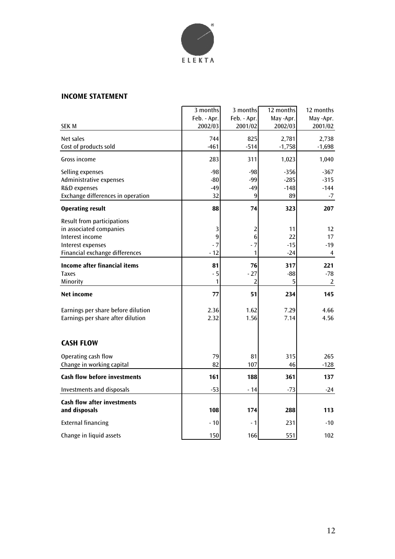![](_page_11_Picture_0.jpeg)

#### **INCOME STATEMENT**

|                                     | 3 months    | 3 months       | 12 months | 12 months |
|-------------------------------------|-------------|----------------|-----------|-----------|
|                                     | Feb. - Apr. | Feb. - Apr.    | May -Apr. | May -Apr. |
| <b>SEK M</b>                        | 2002/03     | 2001/02        | 2002/03   | 2001/02   |
| Net sales                           | 744         | 825            | 2,781     | 2,738     |
| Cost of products sold               | $-461$      | $-514$         | $-1,758$  | $-1,698$  |
| Gross income                        | 283         | 311            | 1,023     | 1,040     |
| Selling expenses                    | $-98$       | $-98$          | $-356$    | $-367$    |
| Administrative expenses             | $-80$       | $-99$          | $-285$    | $-315$    |
| R&D expenses                        | $-49$       | -49            | $-148$    | $-144$    |
| Exchange differences in operation   | 32          | 9              | 89        | $-7$      |
| <b>Operating result</b>             | 88          | 74             | 323       | 207       |
| Result from participations          |             |                |           |           |
| in associated companies             | 3           | 2              | 11        | 12        |
| Interest income                     | 9           | $\overline{6}$ | 22        | 17        |
| Interest expenses                   | $-7$        | $-7$           | $-15$     | -19       |
| Financial exchange differences      | $-12$       | 1              | $-24$     | 4         |
| <b>Income after financial items</b> | 81          | 76             | 317       | 221       |
| <b>Taxes</b>                        | $-5$        | $-27$          | -88       | $-78$     |
| Minority                            | 1           | $\overline{2}$ | 5         | 2         |
| <b>Net income</b>                   | 77          | 51             | 234       | 145       |
| Earnings per share before dilution  | 2.36        | 1.62           | 7.29      | 4.66      |
| Earnings per share after dilution   | 2.32        | 1.56           | 7.14      | 4.56      |
|                                     |             |                |           |           |
| <b>CASH FLOW</b>                    |             |                |           |           |
| Operating cash flow                 | 79          | 81             | 315       | 265       |
| Change in working capital           | 82          | 107            | 46        | $-128$    |
| <b>Cash flow before investments</b> | 161         | 188            | 361       | 137       |
| <b>Investments and disposals</b>    | $-53$       | - 14           | -73       | $-24$     |
| <b>Cash flow after investments</b>  |             |                |           |           |
| and disposals                       | 108         | 174            | 288       | 113       |
| <b>External financing</b>           | $-10$       | - 1            | 231       | $-10$     |
| Change in liquid assets             | 150         | 166            | 551       | 102       |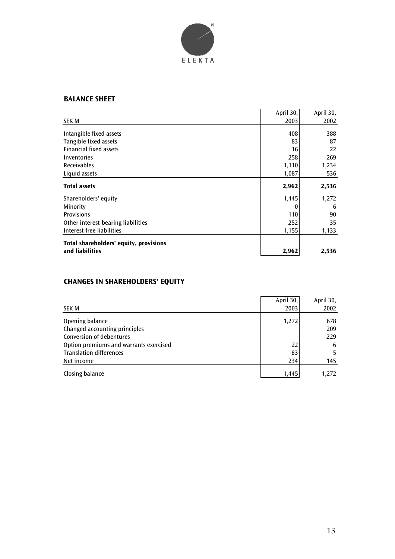![](_page_12_Picture_0.jpeg)

#### **BALANCE SHEET**

|                                        | April 30, | April 30, |
|----------------------------------------|-----------|-----------|
| SEK M                                  | 2003      | 2002      |
| Intangible fixed assets                | 408       | 388       |
| Tangible fixed assets                  | 83        | 87        |
| <b>Financial fixed assets</b>          | 16        | 22        |
| Inventories                            | 258       | 269       |
| <b>Receivables</b>                     | 1,110     | 1,234     |
| Liquid assets                          | 1,087     | 536       |
| <b>Total assets</b>                    | 2,962     | 2,536     |
| Shareholders' equity                   | 1,445     | 1,272     |
| Minority                               |           | 6         |
| <b>Provisions</b>                      | 110       | 90        |
| Other interest-bearing liabilities     | 252       | 35        |
| Interest-free liabilities              | 1,155     | 1,133     |
| Total shareholders' equity, provisions |           |           |
| and liabilities                        | 2,962     | 2,536     |

## **CHANGES IN SHAREHOLDERS' EQUITY**

| SEK M                                  | April 30,<br>2003 | April 30,<br>2002 |
|----------------------------------------|-------------------|-------------------|
| Opening balance                        | 1,272             | 678               |
| Changed accounting principles          |                   | 209               |
| Conversion of debentures               |                   | 229               |
| Option premiums and warrants exercised | 22                | 6                 |
| <b>Translation differences</b>         | $-83$             | 5.                |
| Net income                             | 234               | 145               |
| Closing balance                        | 1.445             | 1.272             |